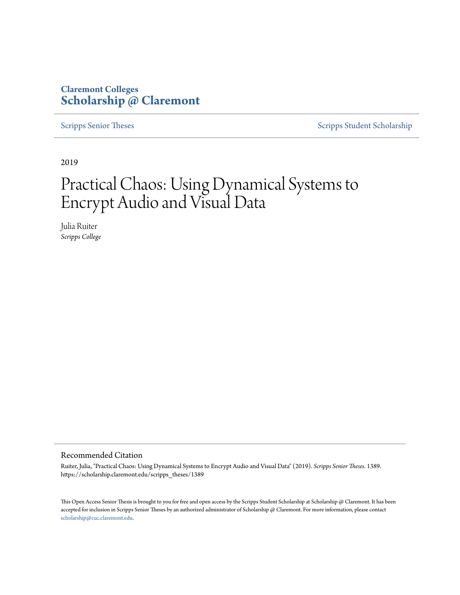### **Claremont Colleges [Scholarship @ Claremont](https://scholarship.claremont.edu)**

[Scripps Senior Theses](https://scholarship.claremont.edu/scripps_theses) [Scripps Student Scholarship](https://scholarship.claremont.edu/scripps_student)

2019

## Practical Chaos: Using Dynamical Systems to Encrypt Audio and Visual Data

Julia Ruiter *Scripps College*

#### Recommended Citation

Ruiter, Julia, "Practical Chaos: Using Dynamical Systems to Encrypt Audio and Visual Data" (2019). *Scripps Senior Theses*. 1389. https://scholarship.claremont.edu/scripps\_theses/1389

This Open Access Senior Thesis is brought to you for free and open access by the Scripps Student Scholarship at Scholarship @ Claremont. It has been accepted for inclusion in Scripps Senior Theses by an authorized administrator of Scholarship @ Claremont. For more information, please contact [scholarship@cuc.claremont.edu.](mailto:scholarship@cuc.claremont.edu)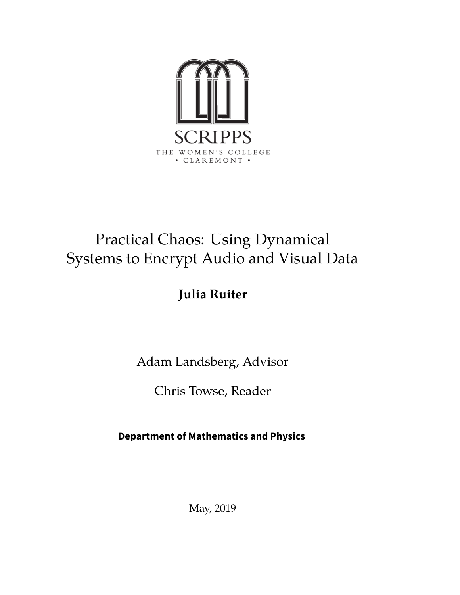

## Practical Chaos: Using Dynamical Systems to Encrypt Audio and Visual Data

### **Julia Ruiter**

Adam Landsberg, Advisor

Chris Towse, Reader

**Department of Mathematics and Physics**

May, 2019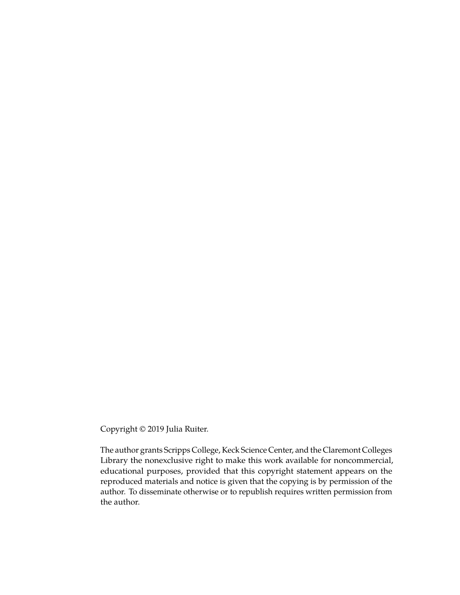Copyright © 2019 Julia Ruiter.

The author grants Scripps College, Keck Science Center, and the Claremont Colleges Library the nonexclusive right to make this work available for noncommercial, educational purposes, provided that this copyright statement appears on the reproduced materials and notice is given that the copying is by permission of the author. To disseminate otherwise or to republish requires written permission from the author.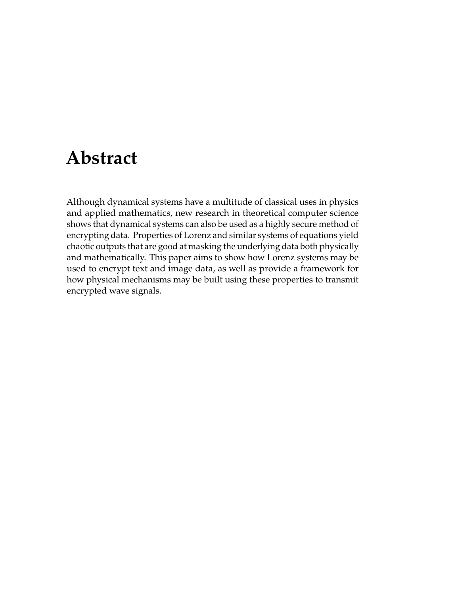## **Abstract**

Although dynamical systems have a multitude of classical uses in physics and applied mathematics, new research in theoretical computer science shows that dynamical systems can also be used as a highly secure method of encrypting data. Properties of Lorenz and similar systems of equations yield chaotic outputs that are good at masking the underlying data both physically and mathematically. This paper aims to show how Lorenz systems may be used to encrypt text and image data, as well as provide a framework for how physical mechanisms may be built using these properties to transmit encrypted wave signals.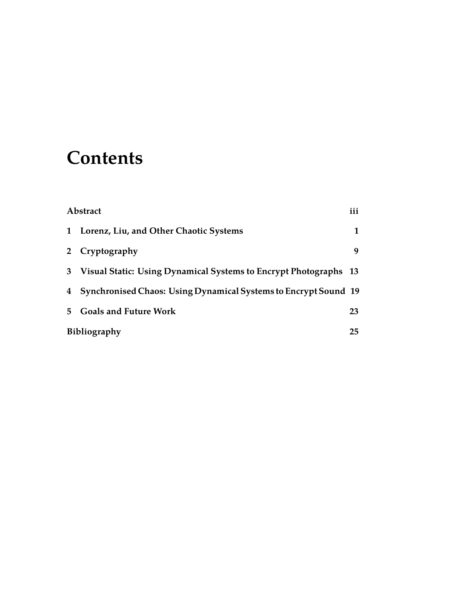## **Contents**

| Abstract    |                                                                  | iii |
|-------------|------------------------------------------------------------------|-----|
| 1           | Lorenz, Liu, and Other Chaotic Systems                           | 1   |
| $2^{\circ}$ | Cryptography                                                     | 9   |
| 3           | Visual Static: Using Dynamical Systems to Encrypt Photographs 13 |     |
| 4           | Synchronised Chaos: Using Dynamical Systems to Encrypt Sound 19  |     |
| 5.          | <b>Goals and Future Work</b>                                     | 23  |
|             | <b>Bibliography</b>                                              |     |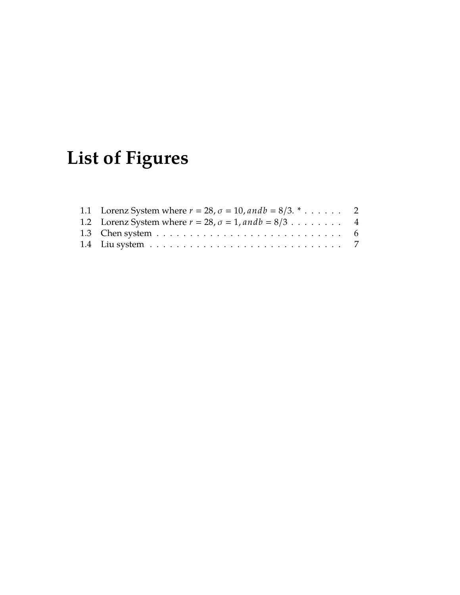## **List of Figures**

| 1.1 Lorenz System where $r = 28$ , $\sigma = 10$ , and $b = 8/3$ . $\cdot \cdot \cdot$ 2  |  |
|-------------------------------------------------------------------------------------------|--|
| 1.2 Lorenz System where $r = 28$ , $\sigma = 1$ , and $b = 8/3$ 4                         |  |
| 1.3 Chen system $\dots \dots \dots \dots \dots \dots \dots \dots \dots \dots \dots \dots$ |  |
|                                                                                           |  |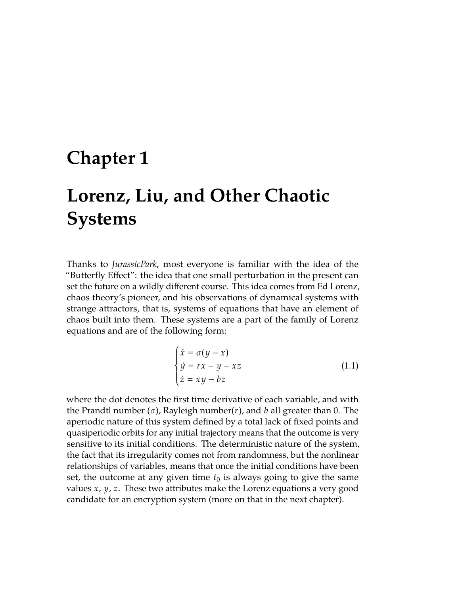### **Chapter 1**

## **Lorenz, Liu, and Other Chaotic Systems**

Thanks to *JurassicPark*, most everyone is familiar with the idea of the "Butterfly Effect": the idea that one small perturbation in the present can set the future on a wildly different course. This idea comes from Ed Lorenz, chaos theory's pioneer, and his observations of dynamical systems with strange attractors, that is, systems of equations that have an element of chaos built into them. These systems are a part of the family of Lorenz equations and are of the following form:

$$
\begin{cases}\n\dot{x} = \sigma(y - x) \\
\dot{y} = rx - y - xz \\
\dot{z} = xy - bz\n\end{cases}
$$
\n(1.1)

where the dot denotes the first time derivative of each variable, and with the Prandtl number (σ), Rayleigh number(*r*), and *b* all greater than 0. The aperiodic nature of this system defined by a total lack of fixed points and quasiperiodic orbits for any initial trajectory means that the outcome is very sensitive to its initial conditions. The deterministic nature of the system, the fact that its irregularity comes not from randomness, but the nonlinear relationships of variables, means that once the initial conditions have been set, the outcome at any given time  $t_0$  is always going to give the same values *x*, *y*, *z*. These two attributes make the Lorenz equations a very good candidate for an encryption system (more on that in the next chapter).

J.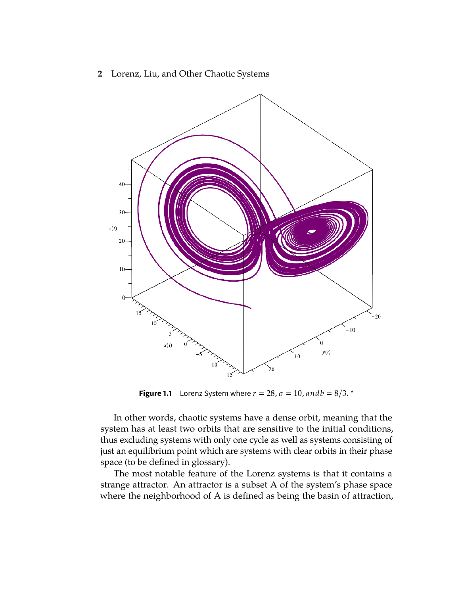**2** Lorenz, Liu, and Other Chaotic Systems



**Figure 1.1** Lorenz System where  $r = 28$ ,  $\sigma = 10$ , and  $b = 8/3$ . \*

In other words, chaotic systems have a dense orbit, meaning that the system has at least two orbits that are sensitive to the initial conditions, thus excluding systems with only one cycle as well as systems consisting of just an equilibrium point which are systems with clear orbits in their phase space (to be defined in glossary).

The most notable feature of the Lorenz systems is that it contains a strange attractor. An attractor is a subset A of the system's phase space where the neighborhood of A is defined as being the basin of attraction,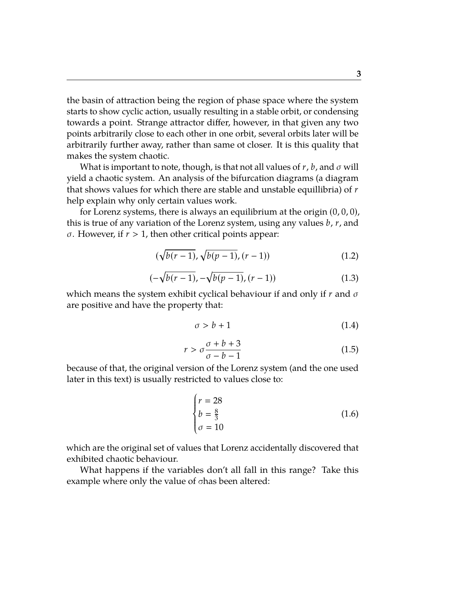the basin of attraction being the region of phase space where the system starts to show cyclic action, usually resulting in a stable orbit, or condensing towards a point. Strange attractor differ, however, in that given any two points arbitrarily close to each other in one orbit, several orbits later will be arbitrarily further away, rather than same ot closer. It is this quality that makes the system chaotic.

What is important to note, though, is that not all values of  $r$ ,  $b$ , and  $\sigma$  will yield a chaotic system. An analysis of the bifurcation diagrams (a diagram that shows values for which there are stable and unstable equillibria) of *r* help explain why only certain values work.

for Lorenz systems, there is always an equilibrium at the origin  $(0,0,0)$ , this is true of any variation of the Lorenz system, using any values *b*, *r*, and σ. However, if *r* > 1, then other critical points appear:

$$
(\sqrt{b(r-1)}, \sqrt{b(p-1)}, (r-1)) \tag{1.2}
$$

$$
(-\sqrt{b(r-1)}, -\sqrt{b(p-1)}, (r-1))\tag{1.3}
$$

which means the system exhibit cyclical behaviour if and only if *r* and σ are positive and have the property that:

$$
\sigma > b + 1 \tag{1.4}
$$

$$
r > \sigma \frac{\sigma + b + 3}{\sigma - b - 1} \tag{1.5}
$$

because of that, the original version of the Lorenz system (and the one used later in this text) is usually restricted to values close to:

$$
\begin{cases}\nr = 28 \\
b = \frac{8}{3} \\
\sigma = 10\n\end{cases}
$$
\n(1.6)

which are the original set of values that Lorenz accidentally discovered that exhibited chaotic behaviour.

What happens if the variables don't all fall in this range? Take this example where only the value of σhas been altered: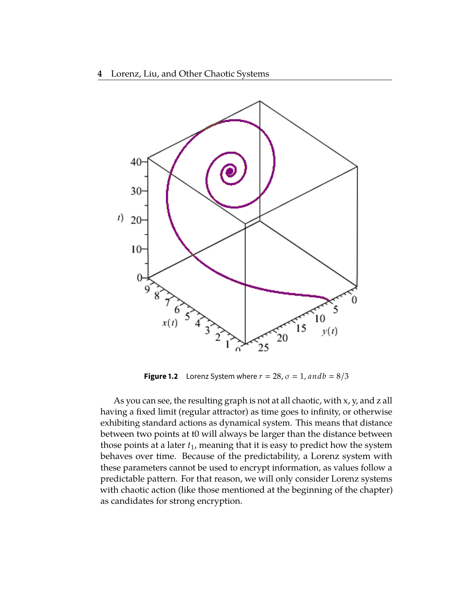

**Figure 1.2** Lorenz System where  $r = 28$ ,  $\sigma = 1$ , and  $b = 8/3$ 

As you can see, the resulting graph is not at all chaotic, with x, y, and z all having a fixed limit (regular attractor) as time goes to infinity, or otherwise exhibiting standard actions as dynamical system. This means that distance between two points at t0 will always be larger than the distance between those points at a later *t*1, meaning that it is easy to predict how the system behaves over time. Because of the predictability, a Lorenz system with these parameters cannot be used to encrypt information, as values follow a predictable pattern. For that reason, we will only consider Lorenz systems with chaotic action (like those mentioned at the beginning of the chapter) as candidates for strong encryption.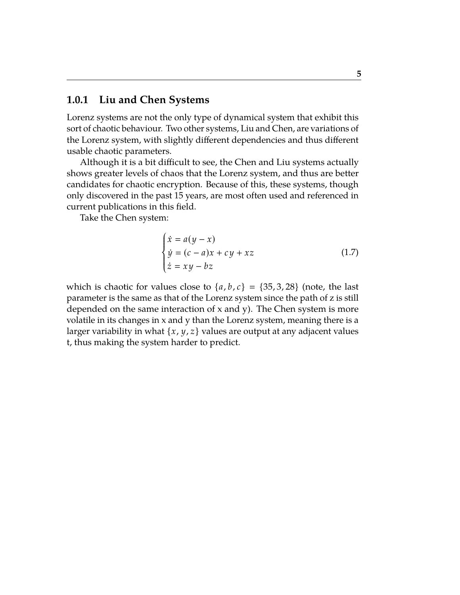### **1.0.1 Liu and Chen Systems**

Lorenz systems are not the only type of dynamical system that exhibit this sort of chaotic behaviour. Two other systems, Liu and Chen, are variations of the Lorenz system, with slightly different dependencies and thus different usable chaotic parameters.

Although it is a bit difficult to see, the Chen and Liu systems actually shows greater levels of chaos that the Lorenz system, and thus are better candidates for chaotic encryption. Because of this, these systems, though only discovered in the past 15 years, are most often used and referenced in current publications in this field.

Take the Chen system:

J.

$$
\begin{cases}\n\dot{x} = a(y - x) \\
\dot{y} = (c - a)x + cy + xz \\
\dot{z} = xy - bz\n\end{cases}
$$
\n(1.7)

which is chaotic for values close to  $\{a, b, c\} = \{35, 3, 28\}$  (note, the last parameter is the same as that of the Lorenz system since the path of z is still depended on the same interaction of x and y). The Chen system is more volatile in its changes in x and y than the Lorenz system, meaning there is a larger variability in what {*x*, *y*, *z*} values are output at any adjacent values t, thus making the system harder to predict.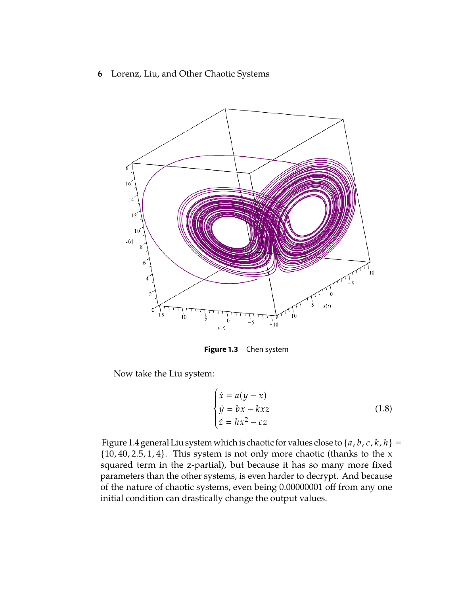

**Figure 1.3** Chen system

Now take the Liu system:

$$
\begin{cases}\n\dot{x} = a(y - x) \\
\dot{y} = bx - kxz \\
\dot{z} = hx^2 - cz\n\end{cases}
$$
\n(1.8)

Figure 1.4 general Liu system which is chaotic for values close to {*a*, *b*, *c*, *k*, *h*}  $\{10, 40, 2.5, 1, 4\}$ . This system is not only more chaotic (thanks to the x squared term in the z-partial), but because it has so many more fixed parameters than the other systems, is even harder to decrypt. And because of the nature of chaotic systems, even being 0.00000001 off from any one initial condition can drastically change the output values.

J.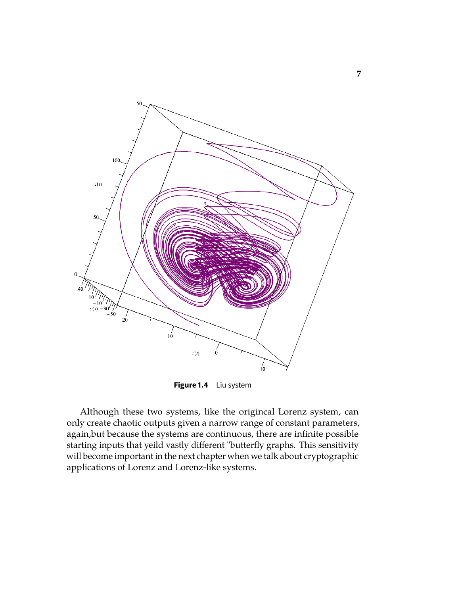

**Figure 1.4** Liu system

Although these two systems, like the origincal Lorenz system, can only create chaotic outputs given a narrow range of constant parameters, again,but because the systems are continuous, there are infinite possible starting inputs that yeild vastly different "butterfly graphs. This sensitivity will become important in the next chapter when we talk about cryptographic applications of Lorenz and Lorenz-like systems.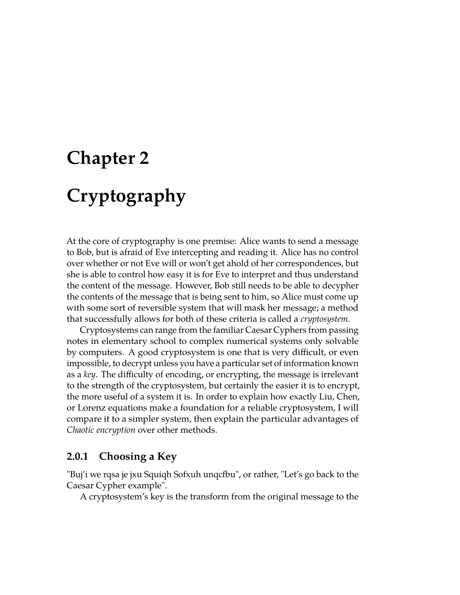# **Chapter 2 Cryptography**

At the core of cryptography is one premise: Alice wants to send a message to Bob, but is afraid of Eve intercepting and reading it. Alice has no control over whether or not Eve will or won't get ahold of her correspondences, but she is able to control how easy it is for Eve to interpret and thus understand the content of the message. However, Bob still needs to be able to decypher the contents of the message that is being sent to him, so Alice must come up with some sort of reversible system that will mask her message; a method that successfully allows for both of these criteria is called a *cryptosystem*.

Cryptosystems can range from the familiar Caesar Cyphers from passing notes in elementary school to complex numerical systems only solvable by computers. A good cryptosystem is one that is very difficult, or even impossible, to decrypt unless you have a particular set of information known as a *key*. The difficulty of encoding, or encrypting, the message is irrelevant to the strength of the cryptosystem, but certainly the easier it is to encrypt, the more useful of a system it is. In order to explain how exactly Liu, Chen, or Lorenz equations make a foundation for a reliable cryptosystem, I will compare it to a simpler system, then explain the particular advantages of *Chaotic encryption* over other methods.

### **2.0.1 Choosing a Key**

"Buj'i we rqsa je jxu Squiqh Sofxuh unqcfbu", or rather, "Let's go back to the Caesar Cypher example".

A cryptosystem's key is the transform from the original message to the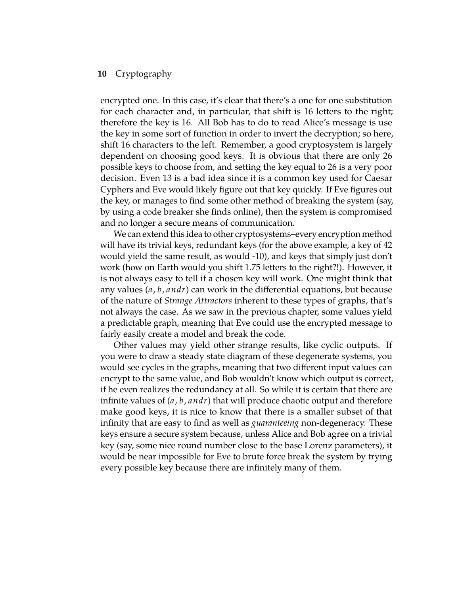encrypted one. In this case, it's clear that there's a one for one substitution for each character and, in particular, that shift is 16 letters to the right; therefore the key is 16. All Bob has to do to read Alice's message is use the key in some sort of function in order to invert the decryption; so here, shift 16 characters to the left. Remember, a good cryptosystem is largely dependent on choosing good keys. It is obvious that there are only 26 possible keys to choose from, and setting the key equal to 26 is a very poor decision. Even 13 is a bad idea since it is a common key used for Caesar Cyphers and Eve would likely figure out that key quickly. If Eve figures out the key, or manages to find some other method of breaking the system (say, by using a code breaker she finds online), then the system is compromised and no longer a secure means of communication.

We can extend this idea to other cryptosystems–every encryption method will have its trivial keys, redundant keys (for the above example, a key of 42 would yield the same result, as would -10), and keys that simply just don't work (how on Earth would you shift 1.75 letters to the right?!). However, it is not always easy to tell if a chosen key will work. One might think that any values (*a*, *b*, *andr*) can work in the differential equations, but because of the nature of *Strange Attractors* inherent to these types of graphs, that's not always the case. As we saw in the previous chapter, some values yield a predictable graph, meaning that Eve could use the encrypted message to fairly easily create a model and break the code.

Other values may yield other strange results, like cyclic outputs. If you were to draw a steady state diagram of these degenerate systems, you would see cycles in the graphs, meaning that two different input values can encrypt to the same value, and Bob wouldn't know which output is correct, if he even realizes the redundancy at all. So while it is certain that there are infinite values of (*a*, *b*, *andr*) that will produce chaotic output and therefore make good keys, it is nice to know that there is a smaller subset of that infinity that are easy to find as well as *guaranteeing* non-degeneracy. These keys ensure a secure system because, unless Alice and Bob agree on a trivial key (say, some nice round number close to the base Lorenz parameters), it would be near impossible for Eve to brute force break the system by trying every possible key because there are infinitely many of them.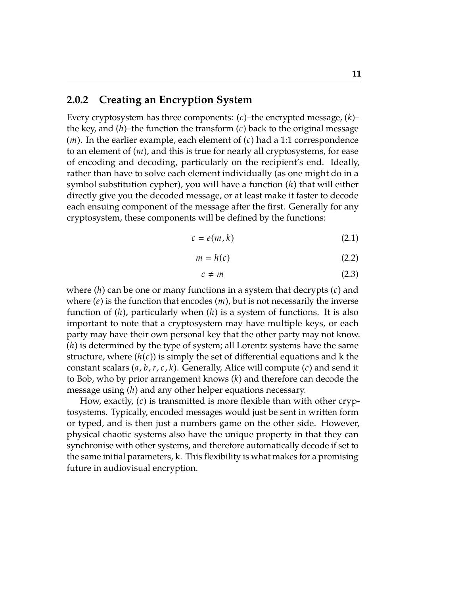### **2.0.2 Creating an Encryption System**

Every cryptosystem has three components: (*c*)–the encrypted message, (*k*)– the key, and  $(h)$ –the function the transform  $(c)$  back to the original message (*m*). In the earlier example, each element of (*c*) had a 1:1 correspondence to an element of (*m*), and this is true for nearly all cryptosystems, for ease of encoding and decoding, particularly on the recipient's end. Ideally, rather than have to solve each element individually (as one might do in a symbol substitution cypher), you will have a function (*h*) that will either directly give you the decoded message, or at least make it faster to decode each ensuing component of the message after the first. Generally for any cryptosystem, these components will be defined by the functions:

$$
c = e(m, k) \tag{2.1}
$$

$$
m = h(c) \tag{2.2}
$$

$$
c \neq m \tag{2.3}
$$

where (*h*) can be one or many functions in a system that decrypts (*c*) and where (*e*) is the function that encodes (*m*), but is not necessarily the inverse function of (*h*), particularly when (*h*) is a system of functions. It is also important to note that a cryptosystem may have multiple keys, or each party may have their own personal key that the other party may not know. (*h*) is determined by the type of system; all Lorentz systems have the same structure, where  $(h(c))$  is simply the set of differential equations and k the constant scalars (*a*, *b*, *r*, *c*, *k*). Generally, Alice will compute (*c*) and send it to Bob, who by prior arrangement knows (*k*) and therefore can decode the message using (*h*) and any other helper equations necessary.

How, exactly, (*c*) is transmitted is more flexible than with other cryptosystems. Typically, encoded messages would just be sent in written form or typed, and is then just a numbers game on the other side. However, physical chaotic systems also have the unique property in that they can synchronise with other systems, and therefore automatically decode if set to the same initial parameters, k. This flexibility is what makes for a promising future in audiovisual encryption.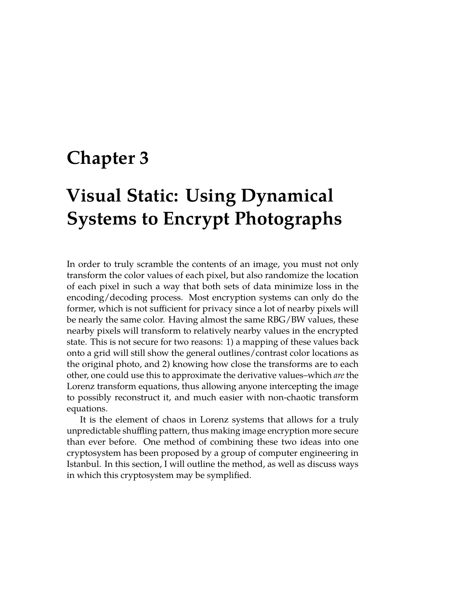### **Chapter 3**

## **Visual Static: Using Dynamical Systems to Encrypt Photographs**

In order to truly scramble the contents of an image, you must not only transform the color values of each pixel, but also randomize the location of each pixel in such a way that both sets of data minimize loss in the encoding/decoding process. Most encryption systems can only do the former, which is not sufficient for privacy since a lot of nearby pixels will be nearly the same color. Having almost the same RBG/BW values, these nearby pixels will transform to relatively nearby values in the encrypted state. This is not secure for two reasons: 1) a mapping of these values back onto a grid will still show the general outlines/contrast color locations as the original photo, and 2) knowing how close the transforms are to each other, one could use this to approximate the derivative values–which *are* the Lorenz transform equations, thus allowing anyone intercepting the image to possibly reconstruct it, and much easier with non-chaotic transform equations.

It is the element of chaos in Lorenz systems that allows for a truly unpredictable shuffling pattern, thus making image encryption more secure than ever before. One method of combining these two ideas into one cryptosystem has been proposed by a group of computer engineering in Istanbul. In this section, I will outline the method, as well as discuss ways in which this cryptosystem may be symplified.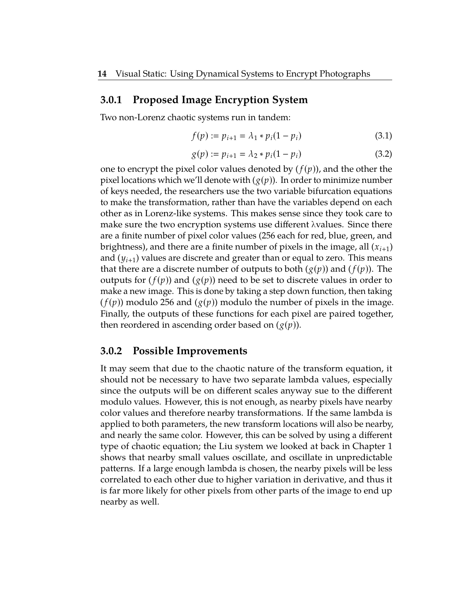#### **3.0.1 Proposed Image Encryption System**

Two non-Lorenz chaotic systems run in tandem:

$$
f(p) := p_{i+1} = \lambda_1 * p_i (1 - p_i)
$$
 (3.1)

$$
g(p) := p_{i+1} = \lambda_2 * p_i (1 - p_i)
$$
 (3.2)

one to encrypt the pixel color values denoted by  $(f(p))$ , and the other the pixel locations which we'll denote with  $(g(p))$ . In order to minimize number of keys needed, the researchers use the two variable bifurcation equations to make the transformation, rather than have the variables depend on each other as in Lorenz-like systems. This makes sense since they took care to make sure the two encryption systems use different  $\lambda$ values. Since there are a finite number of pixel color values (256 each for red, blue, green, and brightness), and there are a finite number of pixels in the image, all (*xi*+1) and  $(y_{i+1})$  values are discrete and greater than or equal to zero. This means that there are a discrete number of outputs to both  $(g(p))$  and  $(f(p))$ . The outputs for  $(f(p))$  and  $(g(p))$  need to be set to discrete values in order to make a new image. This is done by taking a step down function, then taking  $(f(p))$  modulo 256 and  $(g(p))$  modulo the number of pixels in the image. Finally, the outputs of these functions for each pixel are paired together, then reordered in ascending order based on (*g*(*p*)).

#### **3.0.2 Possible Improvements**

It may seem that due to the chaotic nature of the transform equation, it should not be necessary to have two separate lambda values, especially since the outputs will be on different scales anyway sue to the different modulo values. However, this is not enough, as nearby pixels have nearby color values and therefore nearby transformations. If the same lambda is applied to both parameters, the new transform locations will also be nearby, and nearly the same color. However, this can be solved by using a different type of chaotic equation; the Liu system we looked at back in Chapter 1 shows that nearby small values oscillate, and oscillate in unpredictable patterns. If a large enough lambda is chosen, the nearby pixels will be less correlated to each other due to higher variation in derivative, and thus it is far more likely for other pixels from other parts of the image to end up nearby as well.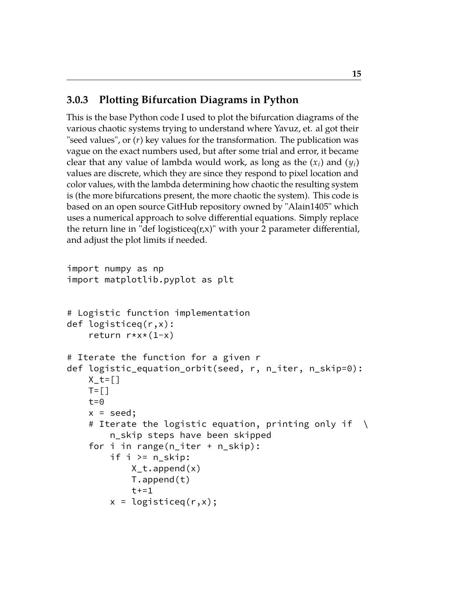### **3.0.3 Plotting Bifurcation Diagrams in Python**

This is the base Python code I used to plot the bifurcation diagrams of the various chaotic systems trying to understand where Yavuz, et. al got their "seed values", or (*r*) key values for the transformation. The publication was vague on the exact numbers used, but after some trial and error, it became clear that any value of lambda would work, as long as the  $(x_i)$  and  $(y_i)$ values are discrete, which they are since they respond to pixel location and color values, with the lambda determining how chaotic the resulting system is (the more bifurcations present, the more chaotic the system). This code is based on an open source GitHub repository owned by "Alain1405" which uses a numerical approach to solve differential equations. Simply replace the return line in "def logisticeq $(r,x)$ " with your 2 parameter differential, and adjust the plot limits if needed.

```
import numpy as np
import matplotlib.pyplot as plt
# Logistic function implementation
def logisticeq(r,x):
    return r*x*(1-x)
# Iterate the function for a given r
def logistic_equation_orbit(seed, r, n_iter, n_skip=0):
    X_t = []
    T = \lceil \rceilt=0x = seed;# Iterate the logistic equation, printing only if \ \ \backslashn_skip steps have been skipped
    for i in range(n_iter + n_skip):
         if i >= n_skip:
             X_t, \alphappend(x)T.append(t)
             t+=1x = \text{logisticeq}(r, x);
```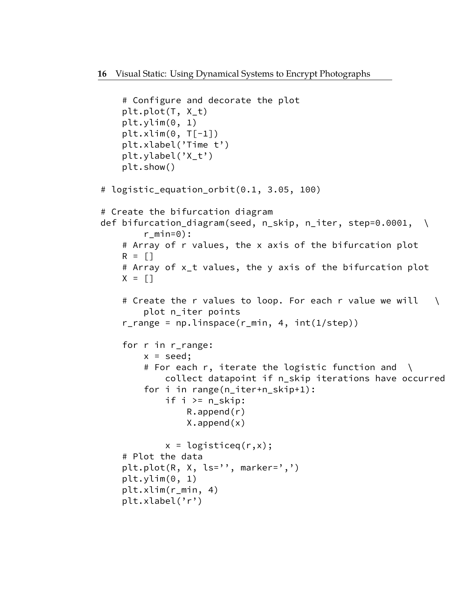```
# Configure and decorate the plot
    plt.plot(T, X_t)
    plt.ylim(0, 1)
    plt.xlim(0, T[-1])plt.xlabel('Time t')
    plt.ylabel('X_t')
    plt.show()
# logistic_equation_orbit(0.1, 3.05, 100)
# Create the bifurcation diagram
def bifurcation_diagram(seed, n_skip, n_iter, step=0.0001, \
        r min=0):
    # Array of r values, the x axis of the bifurcation plot
    R = \lceil \rceil# Array of x_t values, the y axis of the bifurcation plot
    X = \lceil# Create the r values to loop. For each r value we will \setminusplot n_iter points
    r<sub>r</sub> ange = np.linspace(r<sub>min</sub>, 4, int(1/step))for r in r_range:
        x = seed;# For each r, iterate the logistic function and \setminuscollect datapoint if n_skip iterations have occurred
        for i in range(n_iter+n_skip+1):
             if i \ge n_skip:
                 R.append(r)
                 X.append(x)
             x = \text{logisticeq}(r, x);# Plot the data
    plt.plot(R, X, ls='', marker=',')
    plt.ylim(0, 1)
    plt.xlim(r_min, 4)
    plt.xlabel('r')
```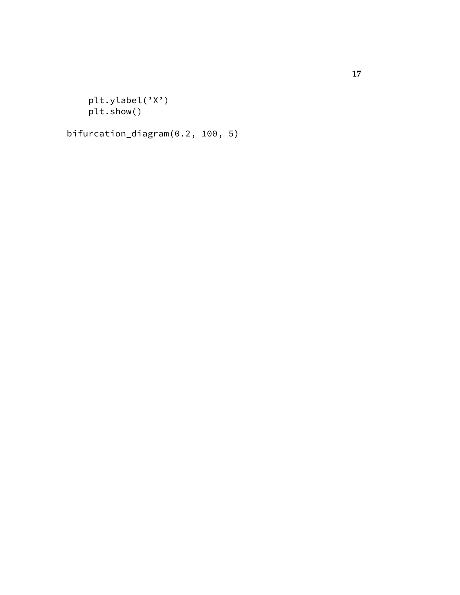plt.ylabel('X') plt.show()

bifurcation\_diagram(0.2, 100, 5)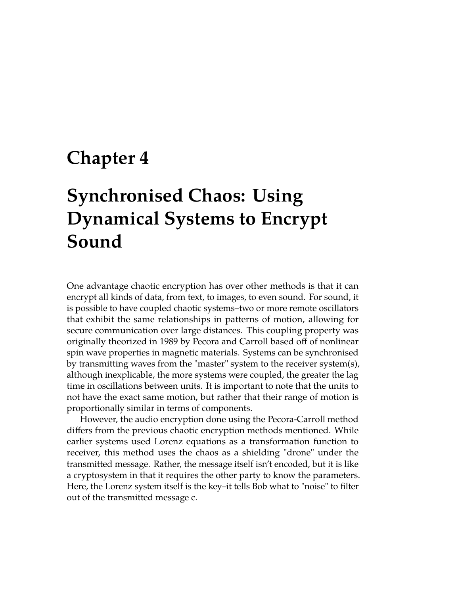## **Chapter 4**

## **Synchronised Chaos: Using Dynamical Systems to Encrypt Sound**

One advantage chaotic encryption has over other methods is that it can encrypt all kinds of data, from text, to images, to even sound. For sound, it is possible to have coupled chaotic systems–two or more remote oscillators that exhibit the same relationships in patterns of motion, allowing for secure communication over large distances. This coupling property was originally theorized in 1989 by Pecora and Carroll based off of nonlinear spin wave properties in magnetic materials. Systems can be synchronised by transmitting waves from the "master" system to the receiver system(s), although inexplicable, the more systems were coupled, the greater the lag time in oscillations between units. It is important to note that the units to not have the exact same motion, but rather that their range of motion is proportionally similar in terms of components.

However, the audio encryption done using the Pecora-Carroll method differs from the previous chaotic encryption methods mentioned. While earlier systems used Lorenz equations as a transformation function to receiver, this method uses the chaos as a shielding "drone" under the transmitted message. Rather, the message itself isn't encoded, but it is like a cryptosystem in that it requires the other party to know the parameters. Here, the Lorenz system itself is the key–it tells Bob what to "noise" to filter out of the transmitted message c.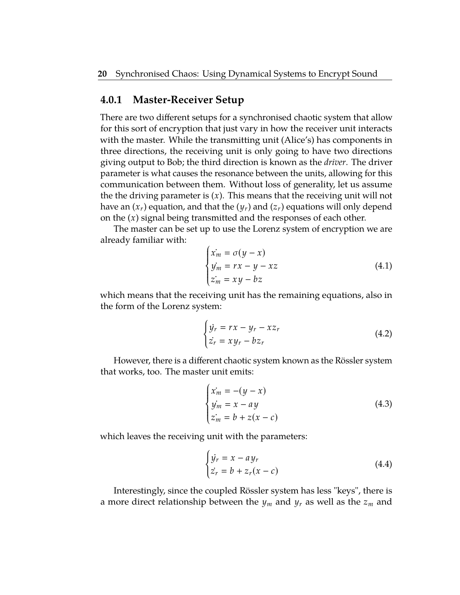#### **4.0.1 Master-Receiver Setup**

There are two different setups for a synchronised chaotic system that allow for this sort of encryption that just vary in how the receiver unit interacts with the master. While the transmitting unit (Alice's) has components in three directions, the receiving unit is only going to have two directions giving output to Bob; the third direction is known as the *driver*. The driver parameter is what causes the resonance between the units, allowing for this communication between them. Without loss of generality, let us assume the the driving parameter is (*x*). This means that the receiving unit will not have an  $(x_r)$  equation, and that the  $(y_r)$  and  $(z_r)$  equations will only depend on the (*x*) signal being transmitted and the responses of each other.

The master can be set up to use the Lorenz system of encryption we are already familiar with:

$$
\begin{cases}\n\dot{x}_m = \sigma(y - x) \\
\dot{y}_m = rx - y - xz \\
\dot{z}_m = xy - bz\n\end{cases}
$$
\n(4.1)

 which means that the receiving unit has the remaining equations, also in the form of the Lorenz system:

$$
\begin{cases} \n\dot{y}_r = rx - y_r - xz_r \\ \n\dot{z}_r = xy_r - bz_r \n\end{cases} \n\tag{4.2}
$$

However, there is a different chaotic system known as the Rössler system that works, too. The master unit emits:

$$
\begin{cases}\n\dot{x}_m = -(y - x) \\
\dot{y}_m = x - ay \\
\dot{z}_m = b + z(x - c)\n\end{cases}
$$
\n(4.3)

which leaves the receiving unit with the parameters:

$$
\begin{cases} \n\dot{y}_r = x - a y_r \\ \n\dot{z}_r = b + z_r(x - c) \n\end{cases} \tag{4.4}
$$

Interestingly, since the coupled Rössler system has less "keys", there is a more direct relationship between the *y<sup>m</sup>* and *y<sup>r</sup>* as well as the *z<sup>m</sup>* and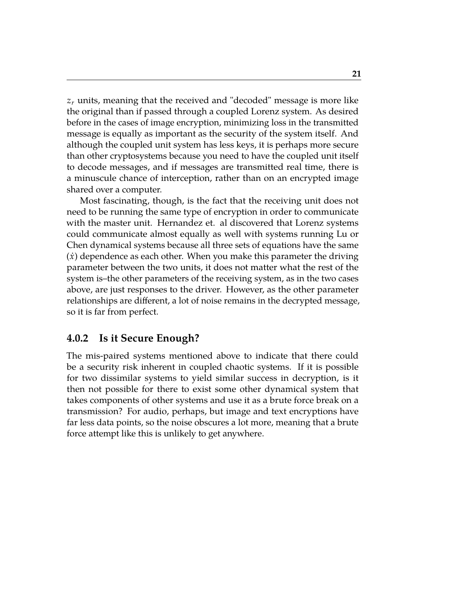*z<sup>r</sup>* units, meaning that the received and "decoded" message is more like the original than if passed through a coupled Lorenz system. As desired before in the cases of image encryption, minimizing loss in the transmitted message is equally as important as the security of the system itself. And although the coupled unit system has less keys, it is perhaps more secure than other cryptosystems because you need to have the coupled unit itself to decode messages, and if messages are transmitted real time, there is a minuscule chance of interception, rather than on an encrypted image shared over a computer.

Most fascinating, though, is the fact that the receiving unit does not need to be running the same type of encryption in order to communicate with the master unit. Hernandez et. al discovered that Lorenz systems could communicate almost equally as well with systems running Lu or Chen dynamical systems because all three sets of equations have the same  $(\dot{x})$  dependence as each other. When you make this parameter the driving parameter between the two units, it does not matter what the rest of the system is–the other parameters of the receiving system, as in the two cases above, are just responses to the driver. However, as the other parameter relationships are different, a lot of noise remains in the decrypted message, so it is far from perfect.

### **4.0.2 Is it Secure Enough?**

The mis-paired systems mentioned above to indicate that there could be a security risk inherent in coupled chaotic systems. If it is possible for two dissimilar systems to yield similar success in decryption, is it then not possible for there to exist some other dynamical system that takes components of other systems and use it as a brute force break on a transmission? For audio, perhaps, but image and text encryptions have far less data points, so the noise obscures a lot more, meaning that a brute force attempt like this is unlikely to get anywhere.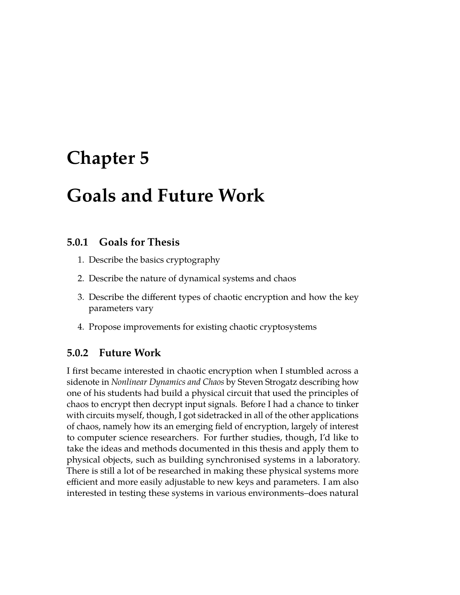## **Chapter 5**

## **Goals and Future Work**

### **5.0.1 Goals for Thesis**

- 1. Describe the basics cryptography
- 2. Describe the nature of dynamical systems and chaos
- 3. Describe the different types of chaotic encryption and how the key parameters vary
- 4. Propose improvements for existing chaotic cryptosystems

### **5.0.2 Future Work**

I first became interested in chaotic encryption when I stumbled across a sidenote in *Nonlinear Dynamics and Chaos* by Steven Strogatz describing how one of his students had build a physical circuit that used the principles of chaos to encrypt then decrypt input signals. Before I had a chance to tinker with circuits myself, though, I got sidetracked in all of the other applications of chaos, namely how its an emerging field of encryption, largely of interest to computer science researchers. For further studies, though, I'd like to take the ideas and methods documented in this thesis and apply them to physical objects, such as building synchronised systems in a laboratory. There is still a lot of be researched in making these physical systems more efficient and more easily adjustable to new keys and parameters. I am also interested in testing these systems in various environments–does natural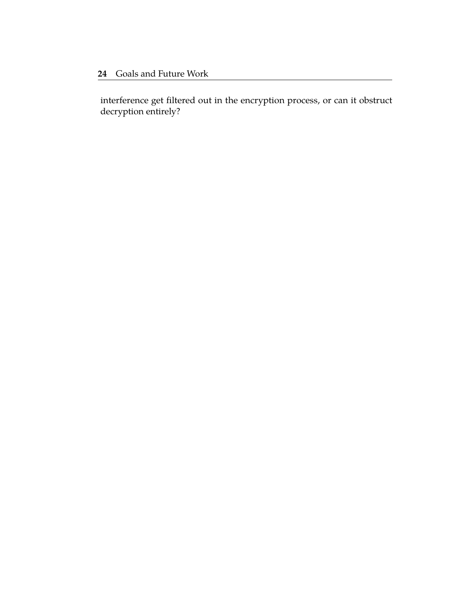interference get filtered out in the encryption process, or can it obstruct decryption entirely?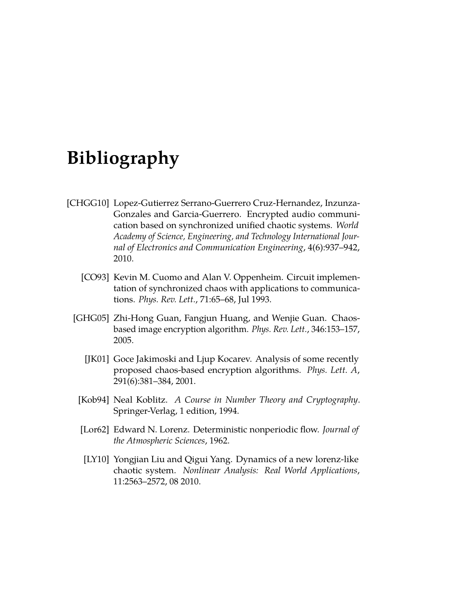## **Bibliography**

- [CHGG10] Lopez-Gutierrez Serrano-Guerrero Cruz-Hernandez, Inzunza-Gonzales and Garcia-Guerrero. Encrypted audio communication based on synchronized unified chaotic systems. *World Academy of Science, Engineering, and Technology International Journal of Electronics and Communication Engineering*, 4(6):937–942, 2010.
	- [CO93] Kevin M. Cuomo and Alan V. Oppenheim. Circuit implementation of synchronized chaos with applications to communications. *Phys. Rev. Lett.*, 71:65–68, Jul 1993.
	- [GHG05] Zhi-Hong Guan, Fangjun Huang, and Wenjie Guan. Chaosbased image encryption algorithm. *Phys. Rev. Lett.*, 346:153–157, 2005.
		- [JK01] Goce Jakimoski and Ljup Kocarev. Analysis of some recently proposed chaos-based encryption algorithms. *Phys. Lett. A*, 291(6):381–384, 2001.
		- [Kob94] Neal Koblitz. *A Course in Number Theory and Cryptography*. Springer-Verlag, 1 edition, 1994.
		- [Lor62] Edward N. Lorenz. Deterministic nonperiodic flow. *Journal of the Atmospheric Sciences*, 1962.
		- [LY10] Yongjian Liu and Qigui Yang. Dynamics of a new lorenz-like chaotic system. *Nonlinear Analysis: Real World Applications*, 11:2563–2572, 08 2010.